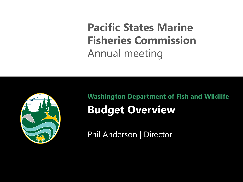**Pacific States Marine Fisheries Commission** Annual meeting



**Washington Department of Fish and Wildlife Budget Overview**

Phil Anderson | Director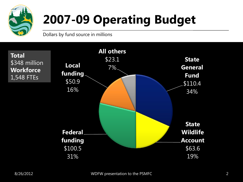

# **2007-09 Operating Budget**

Dollars by fund source in millions

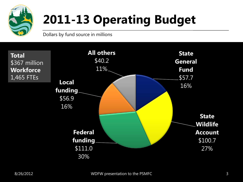

# **2011-13 Operating Budget**

Dollars by fund source in millions

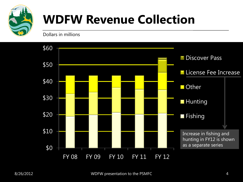

#### **WDFW Revenue Collection**

Dollars in millions

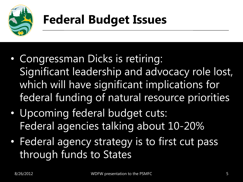

#### **Federal Budget Issues**

- Congressman Dicks is retiring: Significant leadership and advocacy role lost, which will have significant implications for federal funding of natural resource priorities
- Upcoming federal budget cuts: Federal agencies talking about 10-20%
- Federal agency strategy is to first cut pass through funds to States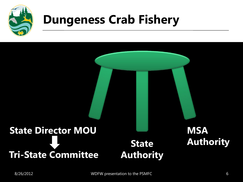

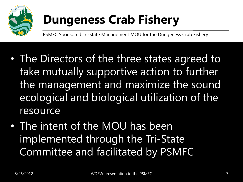

PSMFC Sponsored Tri-State Management MOU for the Dungeness Crab Fishery

- The Directors of the three states agreed to take mutually supportive action to further the management and maximize the sound ecological and biological utilization of the resource
- The intent of the MOU has been implemented through the Tri-State Committee and facilitated by PSMFC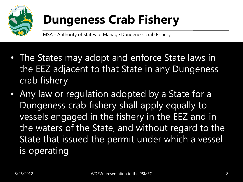

MSA - Authority of States to Manage Dungeness crab Fishery

- The States may adopt and enforce State laws in the EEZ adjacent to that State in any Dungeness crab fishery
- Any law or regulation adopted by a State for a Dungeness crab fishery shall apply equally to vessels engaged in the fishery in the EEZ and in the waters of the State, and without regard to the State that issued the permit under which a vessel is operating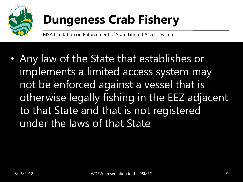

MSA Limitation on Enforcement of State Limited Access Systems

• Any law of the State that establishes or implements a limited access system may not be enforced against a vessel that is otherwise legally fishing in the EEZ adjacent to that State and that is not registered under the laws of that State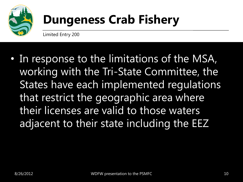

Limited Entry 200

• In response to the limitations of the MSA, working with the Tri-State Committee, the States have each implemented regulations that restrict the geographic area where their licenses are valid to those waters adjacent to their state including the EEZ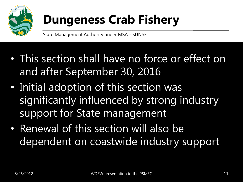

State Management Authority under MSA - SUNSET

- This section shall have no force or effect on and after September 30, 2016
- Initial adoption of this section was significantly influenced by strong industry support for State management
- Renewal of this section will also be dependent on coastwide industry support